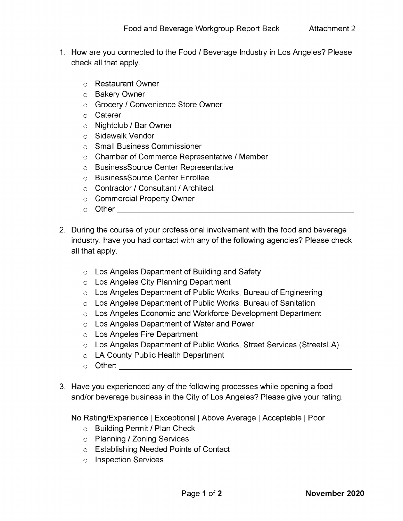- 1. How are you connected to the Food / Beverage Industry in Los Angeles? Please check all that apply.
	- $\circ$  Restaurant Owner
	- $\circ$   $\,$  Bakery Owner
	- $\circ$  Grocery / Convenience Store Owner
	- $\circ$  Caterer
	- $\circ$  Nightclub / Bar Owner
	- $\circ$   $\,$  Sidewalk Vendor
	- $\circ$   $\,$  Small Business Commissioner
	- $\circ$  Chamber of Commerce Representative / Member
	- $\circ$   $\,$  BusinessSource Center Representative
	- $\circ$  BusinessSource Center Enrollee
	- $\circ$  Contractor / Consultant / Architect
	- $\circ$   $\,$  Commercial Property Owner
	- Other\_\_\_\_\_\_\_\_\_\_\_\_\_\_\_\_\_\_\_\_\_\_\_\_\_\_\_\_\_\_\_\_\_\_ o
- 2. During the course of your professional involvement with the food and beverage industry, have you had contact with any of the following agencies? Please check all that apply.
	- $\circ$   $\;$  Los Angeles Department of Building and Safety
	- $\circ$  Los Angeles City Planning Department
	- $\circ$   $\;$  Los Angeles Department of Public Works, Bureau of Engineering
	- $\circ$   $\;$  Los Angeles Department of Public Works, Bureau of Sanitation
	- $\circ$   $\;$  Los Angeles Economic and Workforce Development Department
	- $\circ$   $\;$  Los Angeles Department of Water and Power
	- $\circ$   $\,$  Los Angeles Fire Department
	- $\circ$   $\;$  Los Angeles Department of Public Works, Street Services (StreetsLA)
	- $\circ$   $\;$  LA County Public Health Department
	- Other:\_\_\_\_\_\_\_\_\_\_\_\_\_\_\_\_\_\_\_\_\_\_\_\_\_\_\_\_\_\_\_\_\_\_\_\_\_\_\_\_\_\_\_\_\_\_\_\_\_\_ o
- 3. Have you experienced any of the following processes while opening a food and/or beverage business in the City of Los Angeles? Please give your rating.

No Rating/Experience <sup>|</sup> Exceptional <sup>|</sup> Above Average <sup>|</sup> Acceptable <sup>|</sup> Poor

- $\circ$  Building Permit / Plan Check
- $\circ$  Planning / Zoning Services
- $\circ$   $\;$  Establishing Needed Points of Contact
- $\circ$  Inspection Services